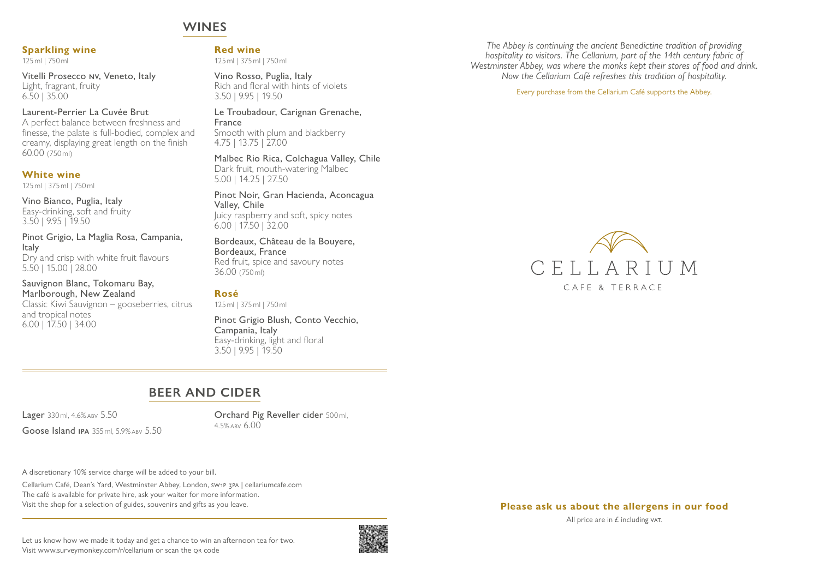# **WINES**

### **Sparkling wine**

125ml | 750ml

Vitelli Prosecco nv, Veneto, Italy Light, fragrant, fruity 6.50 | 35.00

### Laurent-Perrier La Cuvée Brut

A perfect balance between freshness and finesse, the palate is full-bodied, complex and creamy, displaying great length on the finish 60.00 (750ml)

### **White wine**

125ml | 375ml | 750ml

Vino Bianco, Puglia, Italy Easy-drinking, soft and fruity 3.50 | 9.95 | 19.50

Pinot Grigio, La Maglia Rosa, Campania, **Italy** Dry and crisp with white fruit flavours

5.50 | 15.00 | 28.00 Sauvignon Blanc, Tokomaru Bay,

Marlborough, New Zealand Classic Kiwi Sauvignon – gooseberries, citrus and tropical notes 6.00 | 17.50 | 34.00

**Red wine**

125ml | 375ml | 750ml

Vino Rosso, Puglia, Italy Rich and floral with hints of violets 3.50 | 9.95 | 19.50

Le Troubadour, Carignan Grenache, France Smooth with plum and blackberry 4.75 | 13.75 | 27.00

Malbec Rio Rica, Colchagua Valley, Chile Dark fruit, mouth-watering Malbec 5.00 | 14.25 | 27.50

Pinot Noir, Gran Hacienda, Aconcagua Valley, Chile Juicy raspberry and soft, spicy notes 6.00 | 17.50 | 32.00

### Bordeaux, Château de la Bouyere, Bordeaux, France Red fruit, spice and savoury notes

36.00 (750ml)

### **Rosé**

125ml | 375ml | 750ml

Pinot Grigio Blush, Conto Vecchio, Campania, Italy Easy-drinking, light and floral 3.50 | 9.95 | 19.50

# **BEER AND CIDER**

Lager 330ml, 4.6%abv 5.50

Goose Island IPA 355ml, 5.9% ABV 5.50

Orchard Pig Reveller cider 500ml,  $4.5\%$  ABV 6.00

A discretionary 10% service charge will be added to your bill.

Cellarium Café, Dean's Yard, Westminster Abbey, London, sw1p 3pa | cellariumcafe.com The café is available for private hire, ask your waiter for more information. Visit the shop for a selection of guides, souvenirs and gifts as you leave.



*The Abbey is continuing the ancient Benedictine tradition of providing hospitality to visitors. The Cellarium, part of the 14th century fabric of Westminster Abbey, was where the monks kept their stores of food and drink. Now the Cellarium Café refreshes this tradition of hospitality.*

Every purchase from the Cellarium Café supports the Abbey.



#### **Please ask us about the allergens in our food**

All price are in  $E$  including vat.